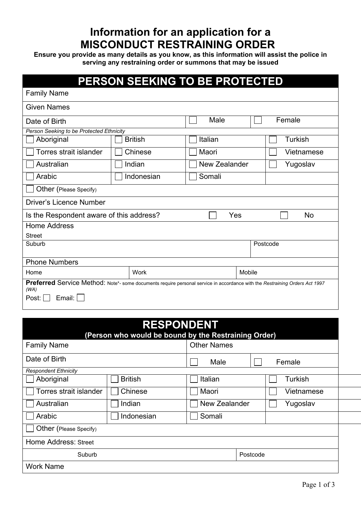## **Information for an application for a MISCONDUCT RESTRAINING ORDER**

**Ensure you provide as many details as you know, as this information will assist the police in serving any restraining order or summons that may be issued**

## **PERSON SEEKING TO BE PROTECTED**

| <b>Family Name</b>                                                                                                                  |                |               |                |  |  |  |  |
|-------------------------------------------------------------------------------------------------------------------------------------|----------------|---------------|----------------|--|--|--|--|
| <b>Given Names</b>                                                                                                                  |                |               |                |  |  |  |  |
| Date of Birth                                                                                                                       |                | Male          | Female         |  |  |  |  |
| Person Seeking to be Protected Ethnicity                                                                                            |                |               |                |  |  |  |  |
| Aboriginal                                                                                                                          | <b>British</b> | Italian       | <b>Turkish</b> |  |  |  |  |
| Torres strait islander                                                                                                              | Chinese        | Maori         | Vietnamese     |  |  |  |  |
| Australian                                                                                                                          | Indian         | New Zealander | Yugoslav       |  |  |  |  |
| Arabic                                                                                                                              | Indonesian     | Somali        |                |  |  |  |  |
| Other (Please Specify)                                                                                                              |                |               |                |  |  |  |  |
| <b>Driver's Licence Number</b>                                                                                                      |                |               |                |  |  |  |  |
| Yes<br>Is the Respondent aware of this address?<br>No                                                                               |                |               |                |  |  |  |  |
| <b>Home Address</b>                                                                                                                 |                |               |                |  |  |  |  |
| <b>Street</b>                                                                                                                       |                |               |                |  |  |  |  |
| Suburb<br>Postcode                                                                                                                  |                |               |                |  |  |  |  |
| <b>Phone Numbers</b>                                                                                                                |                |               |                |  |  |  |  |
| Home                                                                                                                                | Work           | Mobile        |                |  |  |  |  |
| Preferred Service Method: Note*- some documents require personal service in accordance with the Restraining Orders Act 1997<br>(WA) |                |               |                |  |  |  |  |
| Post: $\Box$<br>Email:                                                                                                              |                |               |                |  |  |  |  |
|                                                                                                                                     |                |               |                |  |  |  |  |

| <b>RESPONDENT</b><br>(Person who would be bound by the Restraining Order) |                |                    |            |  |  |  |
|---------------------------------------------------------------------------|----------------|--------------------|------------|--|--|--|
| <b>Family Name</b>                                                        |                | <b>Other Names</b> |            |  |  |  |
| Date of Birth                                                             |                | Male               | Female     |  |  |  |
| <b>Respondent Ethnicity</b>                                               |                |                    |            |  |  |  |
| Aboriginal                                                                | <b>British</b> | Italian            | Turkish    |  |  |  |
| Torres strait islander                                                    | Chinese        | Maori              | Vietnamese |  |  |  |
| Australian                                                                | Indian         | New Zealander      | Yugoslav   |  |  |  |
| Arabic                                                                    | Indonesian     | Somali             |            |  |  |  |
| Other (Please Specify)                                                    |                |                    |            |  |  |  |
| Home Address: Street                                                      |                |                    |            |  |  |  |
| Suburb                                                                    |                |                    | Postcode   |  |  |  |
| <b>Work Name</b>                                                          |                |                    |            |  |  |  |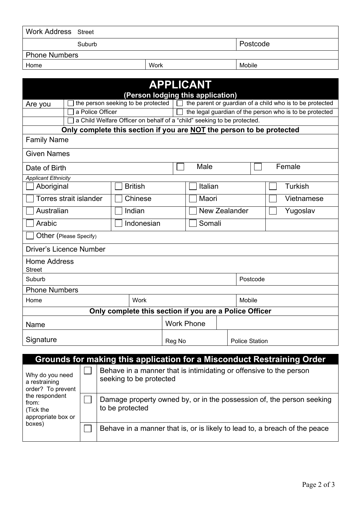| <b>Work Address</b> Street                                                                                          |        |                                                                                               |                                           |        |                           |                                                       |  |                                                                         |                                                          |
|---------------------------------------------------------------------------------------------------------------------|--------|-----------------------------------------------------------------------------------------------|-------------------------------------------|--------|---------------------------|-------------------------------------------------------|--|-------------------------------------------------------------------------|----------------------------------------------------------|
| Suburb                                                                                                              |        |                                                                                               |                                           |        | Postcode                  |                                                       |  |                                                                         |                                                          |
| <b>Phone Numbers</b>                                                                                                |        |                                                                                               |                                           |        |                           |                                                       |  |                                                                         |                                                          |
| Home                                                                                                                |        |                                                                                               |                                           | Work   |                           |                                                       |  | Mobile                                                                  |                                                          |
|                                                                                                                     |        |                                                                                               |                                           |        |                           |                                                       |  |                                                                         |                                                          |
|                                                                                                                     |        |                                                                                               |                                           |        |                           | <b>APPLICANT</b><br>(Person lodging this application) |  |                                                                         |                                                          |
| Are you                                                                                                             |        |                                                                                               | the person seeking to be protected $\Box$ |        |                           |                                                       |  |                                                                         | the parent or guardian of a child who is to be protected |
|                                                                                                                     |        | a Police Officer                                                                              |                                           |        |                           |                                                       |  |                                                                         | the legal guardian of the person who is to be protected  |
|                                                                                                                     |        |                                                                                               |                                           |        |                           |                                                       |  | a Child Welfare Officer on behalf of a "child" seeking to be protected. |                                                          |
|                                                                                                                     |        |                                                                                               |                                           |        |                           |                                                       |  | Only complete this section if you are NOT the person to be protected    |                                                          |
| <b>Family Name</b>                                                                                                  |        |                                                                                               |                                           |        |                           |                                                       |  |                                                                         |                                                          |
| <b>Given Names</b>                                                                                                  |        |                                                                                               |                                           |        |                           |                                                       |  |                                                                         |                                                          |
| Date of Birth                                                                                                       |        |                                                                                               |                                           |        |                           | Male                                                  |  |                                                                         | Female                                                   |
| <b>Applicant Ethnicity</b>                                                                                          |        |                                                                                               |                                           |        |                           |                                                       |  |                                                                         |                                                          |
| Aboriginal                                                                                                          |        |                                                                                               | <b>British</b>                            |        |                           | Italian                                               |  |                                                                         | Turkish                                                  |
| <b>Torres strait islander</b><br>Chinese                                                                            |        |                                                                                               |                                           | Maori  |                           | Vietnamese                                            |  |                                                                         |                                                          |
| Australian                                                                                                          | Indian |                                                                                               |                                           |        | New Zealander<br>Yugoslav |                                                       |  |                                                                         |                                                          |
| Indonesian<br>Arabic                                                                                                |        |                                                                                               |                                           | Somali |                           |                                                       |  |                                                                         |                                                          |
| Other (Please Specify)                                                                                              |        |                                                                                               |                                           |        |                           |                                                       |  |                                                                         |                                                          |
| <b>Driver's Licence Number</b>                                                                                      |        |                                                                                               |                                           |        |                           |                                                       |  |                                                                         |                                                          |
| <b>Home Address</b><br><b>Street</b>                                                                                |        |                                                                                               |                                           |        |                           |                                                       |  |                                                                         |                                                          |
| Suburb<br>Postcode                                                                                                  |        |                                                                                               |                                           |        |                           |                                                       |  |                                                                         |                                                          |
| <b>Phone Numbers</b>                                                                                                |        |                                                                                               |                                           |        |                           |                                                       |  |                                                                         |                                                          |
| Work<br>Home                                                                                                        |        |                                                                                               |                                           | Mobile |                           |                                                       |  |                                                                         |                                                          |
| Only complete this section if you are a Police Officer                                                              |        |                                                                                               |                                           |        |                           |                                                       |  |                                                                         |                                                          |
| Name                                                                                                                |        |                                                                                               |                                           |        |                           | <b>Work Phone</b>                                     |  |                                                                         |                                                          |
| Signature                                                                                                           |        |                                                                                               | Reg No                                    |        |                           | <b>Police Station</b>                                 |  |                                                                         |                                                          |
|                                                                                                                     |        |                                                                                               |                                           |        |                           |                                                       |  |                                                                         |                                                          |
| Grounds for making this application for a Misconduct Restraining Order                                              |        |                                                                                               |                                           |        |                           |                                                       |  |                                                                         |                                                          |
| Why do you need<br>a restraining<br>order? To prevent<br>the respondent<br>from:<br>(Tick the<br>appropriate box or |        | Behave in a manner that is intimidating or offensive to the person<br>seeking to be protected |                                           |        |                           |                                                       |  |                                                                         |                                                          |
|                                                                                                                     |        | Damage property owned by, or in the possession of, the person seeking<br>to be protected      |                                           |        |                           |                                                       |  |                                                                         |                                                          |
| boxes)                                                                                                              |        | Behave in a manner that is, or is likely to lead to, a breach of the peace                    |                                           |        |                           |                                                       |  |                                                                         |                                                          |